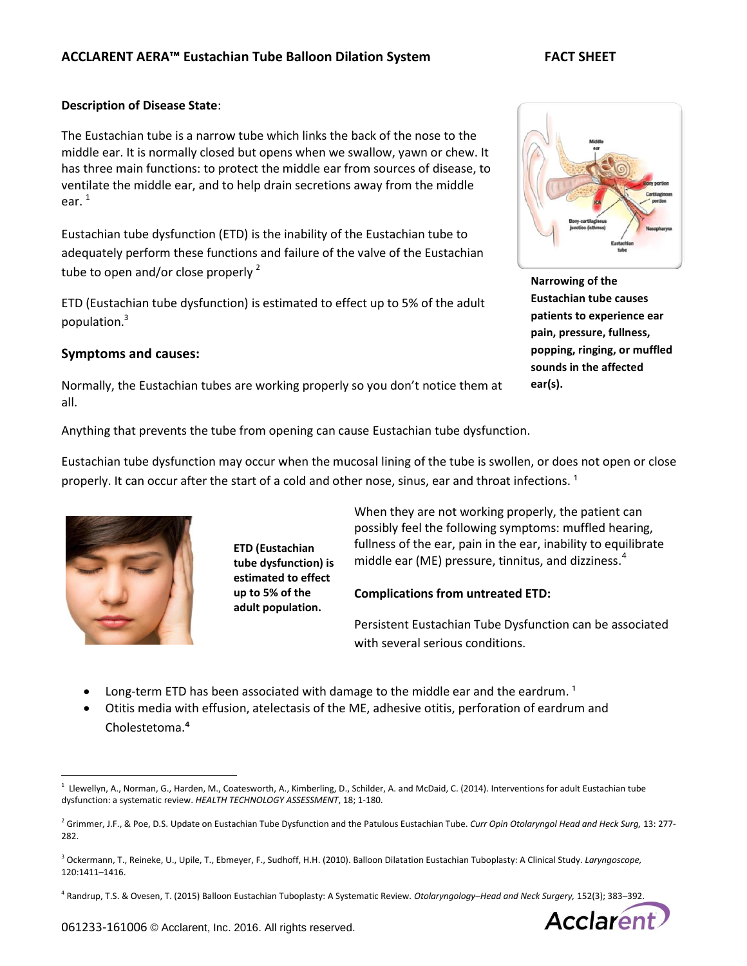## **Description of Disease State**:

The Eustachian tube is a narrow tube which links the back of the nose to the middle ear. It is normally closed but opens when we swallow, yawn or chew. It has three main functions: to protect the middle ear from sources of disease, to ventilate the middle ear, and to help drain secretions away from the middle ear. 1

Eustachian tube dysfunction (ETD) is the inability of the Eustachian tube to adequately perform these functions and failure of the valve of the Eustachian tube to open and/or close properly  $2$ 

ETD (Eustachian tube dysfunction) is estimated to effect up to 5% of the adult population.<sup>3</sup>

# **Symptoms and causes:**

Normally, the Eustachian tubes are working properly so you don't notice them at all.

Anything that prevents the tube from opening can cause Eustachian tube dysfunction.

Eustachian tube dysfunction may occur when the mucosal lining of the tube is swollen, or does not open or close properly. It can occur after the start of a cold and other nose, sinus, ear and throat infections.<sup>1</sup>



 $\overline{a}$ 

**ETD (Eustachian tube dysfunction) is estimated to effect up to 5% of the adult population.**

When they are not working properly, the patient can possibly feel the following symptoms: muffled hearing, fullness of the ear, pain in the ear, inability to equilibrate middle ear (ME) pressure, tinnitus, and dizziness. 4

### **Complications from untreated ETD:**

Persistent Eustachian Tube Dysfunction can be associated with several serious conditions.

- Long-term ETD has been associated with damage to the middle ear and the eardrum.<sup>1</sup>
- Otitis media with effusion, atelectasis of the ME, adhesive otitis, perforation of eardrum and Cholestetoma.<sup>4</sup>

4 Randrup, T.S. & Ovesen, T. (2015) Balloon Eustachian Tuboplasty: A Systematic Review*. Otolaryngology–Head and Neck Surgery,* 152(3); 383–392.



**Narrowing of the Eustachian tube causes patients to experience ear pain, pressure, fullness, popping, ringing, or muffled sounds in the affected ear(s).**



<sup>1</sup> Llewellyn, A., Norman, G., Harden, M., Coatesworth, A., Kimberling, D., Schilder, A. and McDaid, C. (2014). Interventions for adult Eustachian tube dysfunction: a systematic review. *HEALTH TECHNOLOGY ASSESSMENT*, 18; 1-180.

<sup>2</sup> Grimmer, J.F., & Poe, D.S. Update on Eustachian Tube Dysfunction and the Patulous Eustachian Tube. *Curr Opin Otolaryngol Head and Heck Surg,* 13: 277- 282.

<sup>3</sup> Ockermann, T., Reineke, U., Upile, T., Ebmeyer, F., Sudhoff, H.H. (2010). Balloon Dilatation Eustachian Tuboplasty: A Clinical Study. *Laryngoscope,* 120:1411–1416.